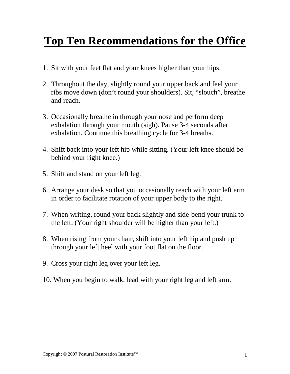## **Top Ten Recommendations for the Office**

- 1. Sit with your feet flat and your knees higher than your hips.
- 2. Throughout the day, slightly round your upper back and feel your ribs move down (don't round your shoulders). Sit, "slouch", breathe and reach.
- 3. Occasionally breathe in through your nose and perform deep exhalation through your mouth (sigh). Pause 3-4 seconds after exhalation. Continue this breathing cycle for 3-4 breaths.
- 4. Shift back into your left hip while sitting. (Your left knee should be behind your right knee.)
- 5. Shift and stand on your left leg.
- 6. Arrange your desk so that you occasionally reach with your left arm in order to facilitate rotation of your upper body to the right.
- 7. When writing, round your back slightly and side-bend your trunk to the left. (Your right shoulder will be higher than your left.)
- 8. When rising from your chair, shift into your left hip and push up through your left heel with your foot flat on the floor.
- 9. Cross your right leg over your left leg.
- 10. When you begin to walk, lead with your right leg and left arm.